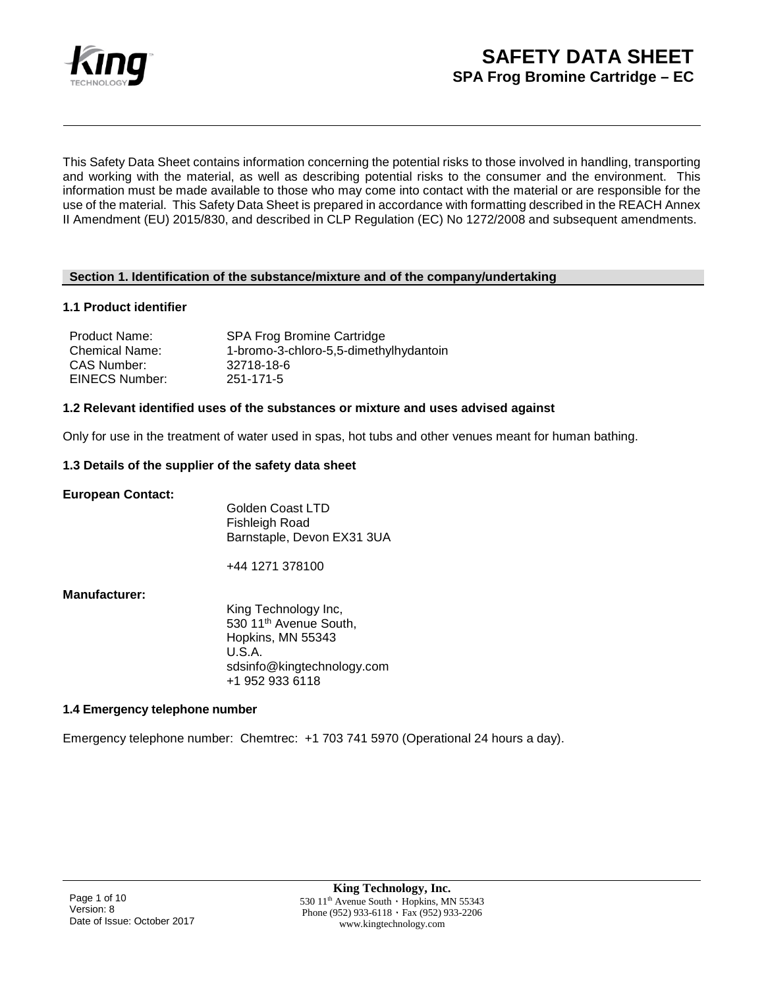

This Safety Data Sheet contains information concerning the potential risks to those involved in handling, transporting and working with the material, as well as describing potential risks to the consumer and the environment. This information must be made available to those who may come into contact with the material or are responsible for the use of the material. This Safety Data Sheet is prepared in accordance with formatting described in the REACH Annex II Amendment (EU) 2015/830, and described in CLP Regulation (EC) No 1272/2008 and subsequent amendments.

### **Section 1. Identification of the substance/mixture and of the company/undertaking**

### **1.1 Product identifier**

| <b>Product Name:</b>  | <b>SPA Frog Bromine Cartridge</b>      |
|-----------------------|----------------------------------------|
| <b>Chemical Name:</b> | 1-bromo-3-chloro-5,5-dimethylhydantoin |
| CAS Number:           | 32718-18-6                             |
| EINECS Number:        | 251-171-5                              |

### **1.2 Relevant identified uses of the substances or mixture and uses advised against**

Only for use in the treatment of water used in spas, hot tubs and other venues meant for human bathing.

### **1.3 Details of the supplier of the safety data sheet**

**European Contact:** 

Golden Coast LTD Fishleigh Road Barnstaple, Devon EX31 3UA

+44 1271 378100

## **Manufacturer:**

King Technology Inc, 530 11<sup>th</sup> Avenue South, Hopkins, MN 55343 U.S.A. sdsinfo@kingtechnology.com +1 952 933 6118

## **1.4 Emergency telephone number**

Emergency telephone number: Chemtrec: +1 703 741 5970 (Operational 24 hours a day).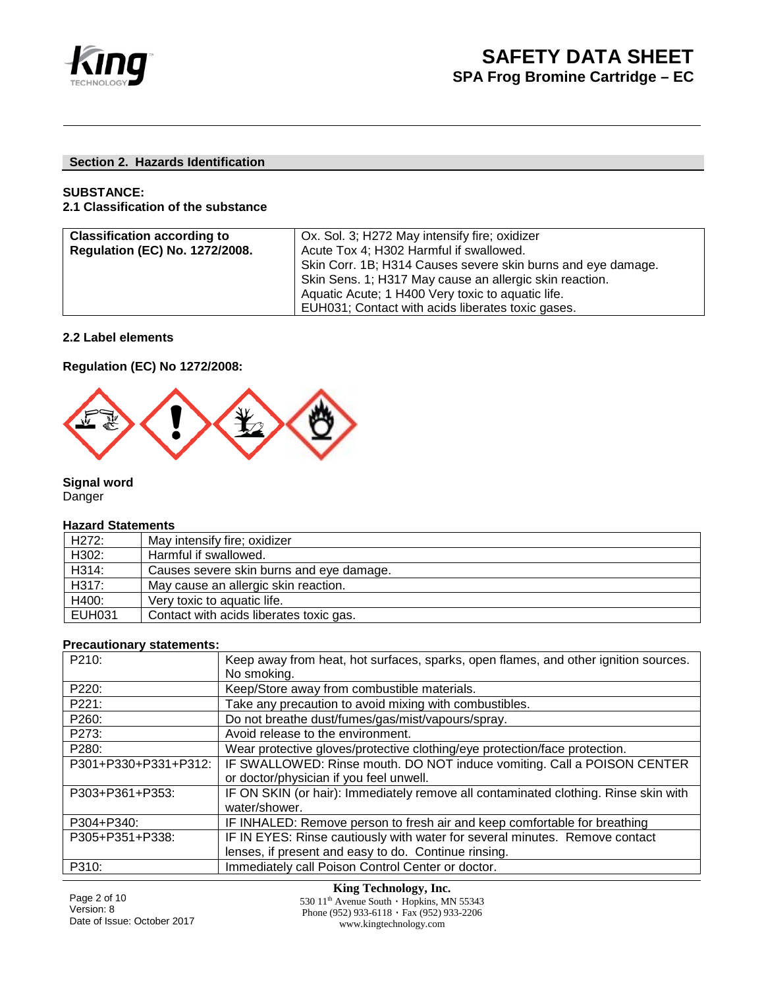

## **Section 2. Hazards Identification**

## **SUBSTANCE:**

## **2.1 Classification of the substance**

| <b>Classification according to</b>    | Ox. Sol. 3; H272 May intensify fire; oxidizer                |  |
|---------------------------------------|--------------------------------------------------------------|--|
| <b>Regulation (EC) No. 1272/2008.</b> | Acute Tox 4; H302 Harmful if swallowed.                      |  |
|                                       | Skin Corr. 1B; H314 Causes severe skin burns and eye damage. |  |
|                                       | Skin Sens. 1; H317 May cause an allergic skin reaction.      |  |
|                                       | Aquatic Acute; 1 H400 Very toxic to aquatic life.            |  |
|                                       | EUH031; Contact with acids liberates toxic gases.            |  |

## **2.2 Label elements**

**Regulation (EC) No 1272/2008:**



**Signal word**  Danger

## **Hazard Statements**

| H <sub>272</sub> : | May intensify fire; oxidizer             |
|--------------------|------------------------------------------|
| H302:              | Harmful if swallowed.                    |
| H314:              | Causes severe skin burns and eye damage. |
| H317:              | May cause an allergic skin reaction.     |
| H400:              | Very toxic to aquatic life.              |
| <b>EUH031</b>      | Contact with acids liberates toxic gas.  |

### **Precautionary statements:**

| P210:                | Keep away from heat, hot surfaces, sparks, open flames, and other ignition sources. |
|----------------------|-------------------------------------------------------------------------------------|
|                      |                                                                                     |
|                      | No smoking.                                                                         |
| P220:                | Keep/Store away from combustible materials.                                         |
| P221:                | Take any precaution to avoid mixing with combustibles.                              |
| P260:                | Do not breathe dust/fumes/gas/mist/vapours/spray.                                   |
| P273:                | Avoid release to the environment.                                                   |
| P280:                | Wear protective gloves/protective clothing/eye protection/face protection.          |
| P301+P330+P331+P312: | IF SWALLOWED: Rinse mouth. DO NOT induce vomiting. Call a POISON CENTER             |
|                      | or doctor/physician if you feel unwell.                                             |
| P303+P361+P353:      | IF ON SKIN (or hair): Immediately remove all contaminated clothing. Rinse skin with |
|                      | water/shower.                                                                       |
| P304+P340:           | IF INHALED: Remove person to fresh air and keep comfortable for breathing           |
| P305+P351+P338:      | IF IN EYES: Rinse cautiously with water for several minutes. Remove contact         |
|                      | lenses, if present and easy to do. Continue rinsing.                                |
| P310:                | Immediately call Poison Control Center or doctor.                                   |

Page 2 of 10 Version: 8 Date of Issue: October 2017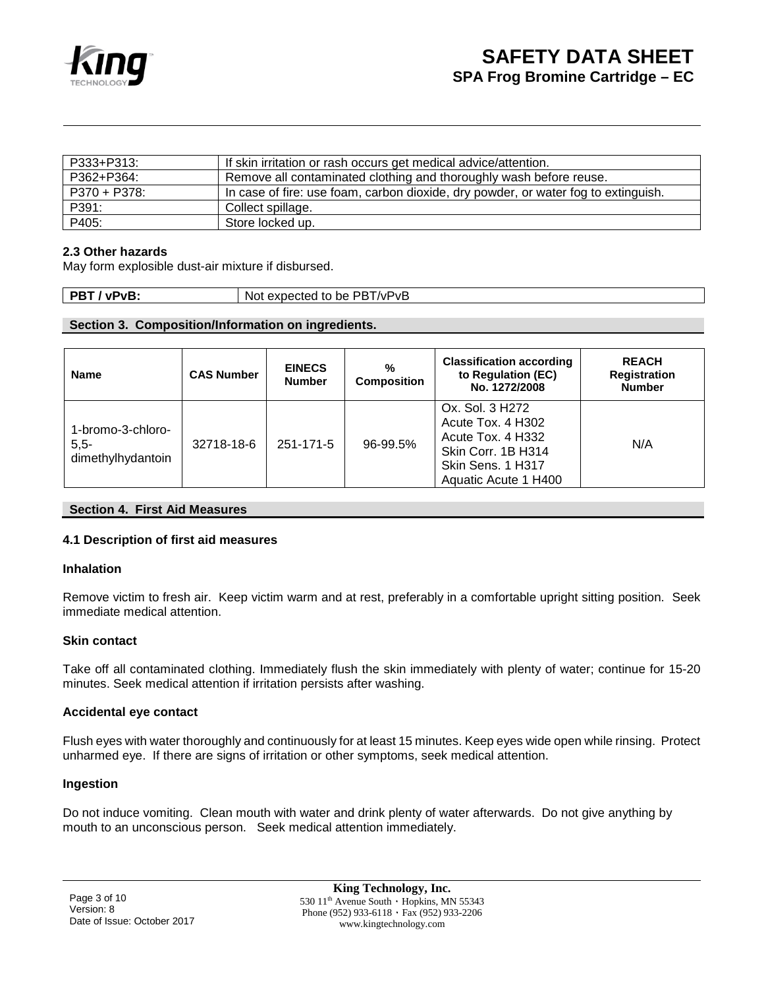

| P333+P313:   | If skin irritation or rash occurs get medical advice/attention.                    |
|--------------|------------------------------------------------------------------------------------|
| P362+P364:   | Remove all contaminated clothing and thoroughly wash before reuse.                 |
| P370 + P378: | In case of fire: use foam, carbon dioxide, dry powder, or water fog to extinguish. |
| P391:        | Collect spillage.                                                                  |
| P405:        | Store locked up.                                                                   |

## **2.3 Other hazards**

May form explosible dust-air mixture if disbursed.

| <b>DP</b><br>,pv.<br>۰ъ.<br>_ | PR 1<br><b>NPVB</b><br>Nοι<br>expected<br>$+$ $\sim$<br>be<br>- LU<br>- |
|-------------------------------|-------------------------------------------------------------------------|

## **Section 3. Composition/Information on ingredients.**

| <b>Name</b>                                      | <b>CAS Number</b> | <b>EINECS</b><br><b>Number</b> | $\%$<br><b>Composition</b> | <b>Classification according</b><br>to Regulation (EC)<br>No. 1272/2008                                                       | <b>REACH</b><br><b>Registration</b><br><b>Number</b> |
|--------------------------------------------------|-------------------|--------------------------------|----------------------------|------------------------------------------------------------------------------------------------------------------------------|------------------------------------------------------|
| 1-bromo-3-chloro-<br>$5,5-$<br>dimethylhydantoin | 32718-18-6        | 251-171-5                      | 96-99.5%                   | Ox. Sol. 3 H272<br>Acute Tox. 4 H302<br>Acute Tox, 4 H332<br>Skin Corr. 1B H314<br>Skin Sens. 1 H317<br>Aquatic Acute 1 H400 | N/A                                                  |

## **Section 4. First Aid Measures**

## **4.1 Description of first aid measures**

#### **Inhalation**

Remove victim to fresh air. Keep victim warm and at rest, preferably in a comfortable upright sitting position. Seek immediate medical attention.

#### **Skin contact**

Take off all contaminated clothing. Immediately flush the skin immediately with plenty of water; continue for 15-20 minutes. Seek medical attention if irritation persists after washing.

#### **Accidental eye contact**

Flush eyes with water thoroughly and continuously for at least 15 minutes. Keep eyes wide open while rinsing. Protect unharmed eye. If there are signs of irritation or other symptoms, seek medical attention.

#### **Ingestion**

Do not induce vomiting. Clean mouth with water and drink plenty of water afterwards. Do not give anything by mouth to an unconscious person. Seek medical attention immediately.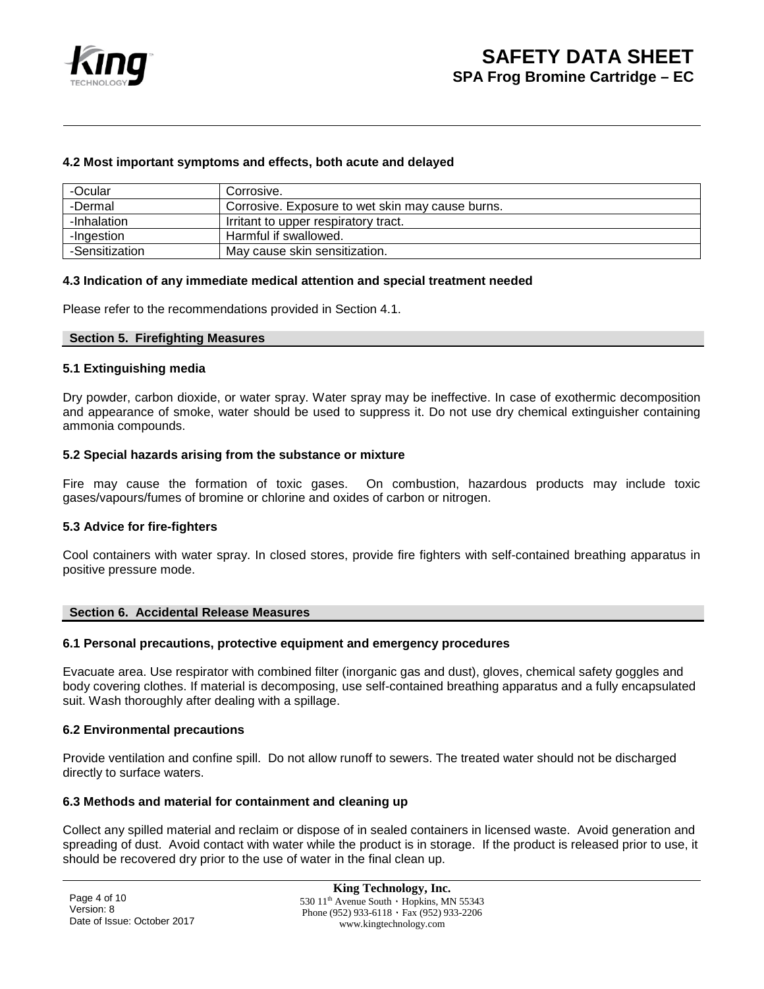

## **4.2 Most important symptoms and effects, both acute and delayed**

| -Ocular        | Corrosive.                                       |
|----------------|--------------------------------------------------|
| -Dermal        | Corrosive. Exposure to wet skin may cause burns. |
| -Inhalation    | Irritant to upper respiratory tract.             |
| -Ingestion     | Harmful if swallowed.                            |
| -Sensitization | May cause skin sensitization.                    |

#### **4.3 Indication of any immediate medical attention and special treatment needed**

Please refer to the recommendations provided in Section 4.1.

#### **Section 5. Firefighting Measures**

#### **5.1 Extinguishing media**

Dry powder, carbon dioxide, or water spray. Water spray may be ineffective. In case of exothermic decomposition and appearance of smoke, water should be used to suppress it. Do not use dry chemical extinguisher containing ammonia compounds.

#### **5.2 Special hazards arising from the substance or mixture**

Fire may cause the formation of toxic gases. On combustion, hazardous products may include toxic gases/vapours/fumes of bromine or chlorine and oxides of carbon or nitrogen.

#### **5.3 Advice for fire-fighters**

Cool containers with water spray. In closed stores, provide fire fighters with self-contained breathing apparatus in positive pressure mode.

#### **Section 6. Accidental Release Measures**

#### **6.1 Personal precautions, protective equipment and emergency procedures**

Evacuate area. Use respirator with combined filter (inorganic gas and dust), gloves, chemical safety goggles and body covering clothes. If material is decomposing, use self-contained breathing apparatus and a fully encapsulated suit. Wash thoroughly after dealing with a spillage.

#### **6.2 Environmental precautions**

Provide ventilation and confine spill. Do not allow runoff to sewers. The treated water should not be discharged directly to surface waters.

#### **6.3 Methods and material for containment and cleaning up**

Collect any spilled material and reclaim or dispose of in sealed containers in licensed waste. Avoid generation and spreading of dust. Avoid contact with water while the product is in storage. If the product is released prior to use, it should be recovered dry prior to the use of water in the final clean up.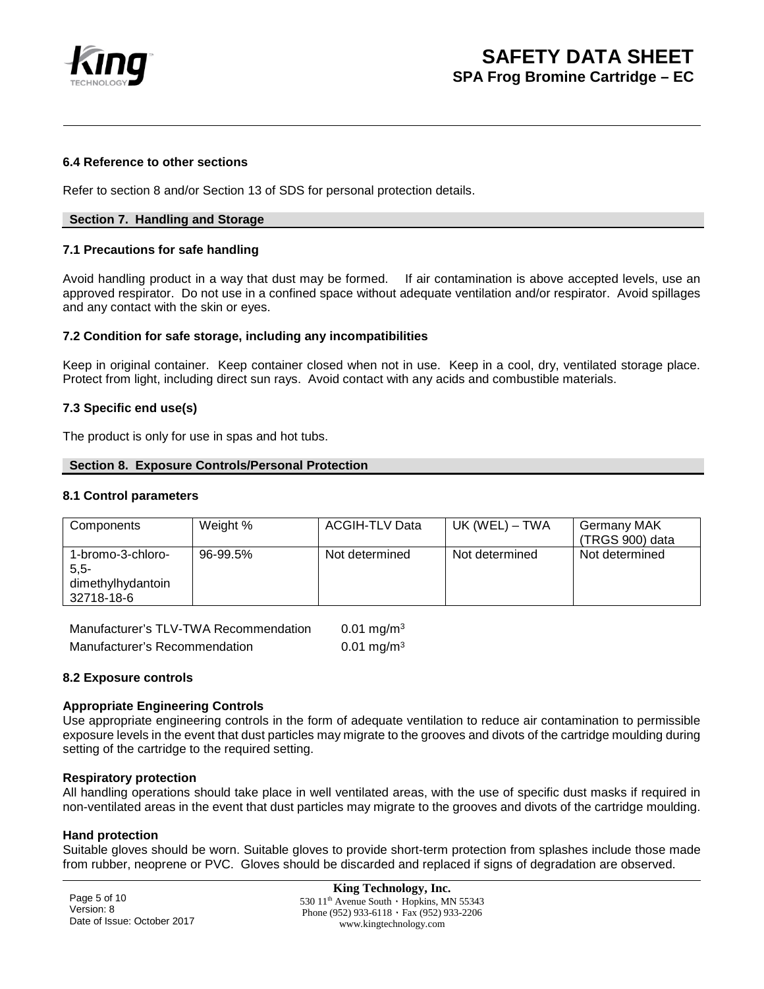

### **6.4 Reference to other sections**

Refer to section 8 and/or Section 13 of SDS for personal protection details.

### **Section 7. Handling and Storage**

### **7.1 Precautions for safe handling**

Avoid handling product in a way that dust may be formed. If air contamination is above accepted levels, use an approved respirator. Do not use in a confined space without adequate ventilation and/or respirator. Avoid spillages and any contact with the skin or eyes.

### **7.2 Condition for safe storage, including any incompatibilities**

Keep in original container. Keep container closed when not in use. Keep in a cool, dry, ventilated storage place. Protect from light, including direct sun rays. Avoid contact with any acids and combustible materials.

### **7.3 Specific end use(s)**

The product is only for use in spas and hot tubs.

#### **Section 8. Exposure Controls/Personal Protection**

#### **8.1 Control parameters**

| Components                                                      | Weight % | <b>ACGIH-TLV Data</b> | UK (WEL) – TWA | <b>Germany MAK</b><br>(TRGS 900) data |
|-----------------------------------------------------------------|----------|-----------------------|----------------|---------------------------------------|
| 1-bromo-3-chloro-<br>$5.5 -$<br>dimethylhydantoin<br>32718-18-6 | 96-99.5% | Not determined        | Not determined | Not determined                        |

| Manufacturer's TLV-TWA Recommendation | $0.01$ mg/m <sup>3</sup> |
|---------------------------------------|--------------------------|
| Manufacturer's Recommendation         | 0.01 mg/m <sup>3</sup>   |

## **8.2 Exposure controls**

#### **Appropriate Engineering Controls**

Use appropriate engineering controls in the form of adequate ventilation to reduce air contamination to permissible exposure levels in the event that dust particles may migrate to the grooves and divots of the cartridge moulding during setting of the cartridge to the required setting.

#### **Respiratory protection**

All handling operations should take place in well ventilated areas, with the use of specific dust masks if required in non-ventilated areas in the event that dust particles may migrate to the grooves and divots of the cartridge moulding.

#### **Hand protection**

Suitable gloves should be worn. Suitable gloves to provide short-term protection from splashes include those made from rubber, neoprene or PVC. Gloves should be discarded and replaced if signs of degradation are observed.

Page 5 of 10 Version: 8 Date of Issue: October 2017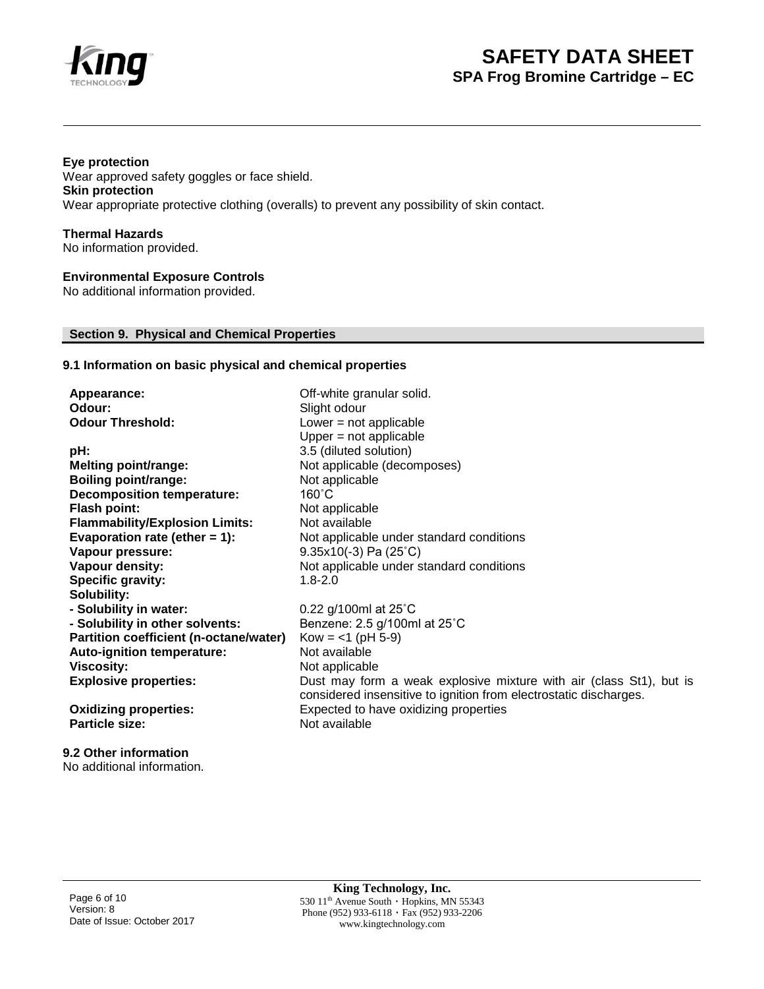

## **Eye protection**

Wear approved safety goggles or face shield. **Skin protection** Wear appropriate protective clothing (overalls) to prevent any possibility of skin contact.

**Thermal Hazards** No information provided.

## **Environmental Exposure Controls**

No additional information provided.

## **Section 9. Physical and Chemical Properties**

## **9.1 Information on basic physical and chemical properties**

| Appearance:                            | Off-white granular solid.                                           |
|----------------------------------------|---------------------------------------------------------------------|
| Odour:                                 | Slight odour                                                        |
| <b>Odour Threshold:</b>                | Lower $=$ not applicable                                            |
|                                        | Upper $=$ not applicable                                            |
| pH:                                    | 3.5 (diluted solution)                                              |
| <b>Melting point/range:</b>            | Not applicable (decomposes)                                         |
| <b>Boiling point/range:</b>            | Not applicable                                                      |
| <b>Decomposition temperature:</b>      | $160^{\circ}$ C                                                     |
| <b>Flash point:</b>                    | Not applicable                                                      |
| <b>Flammability/Explosion Limits:</b>  | Not available                                                       |
| Evaporation rate (ether $= 1$ ):       | Not applicable under standard conditions                            |
| Vapour pressure:                       | $9.35x10(-3)$ Pa (25°C)                                             |
| Vapour density:                        | Not applicable under standard conditions                            |
| <b>Specific gravity:</b>               | $1.8 - 2.0$                                                         |
| Solubility:                            |                                                                     |
| - Solubility in water:                 | 0.22 g/100ml at 25°C                                                |
| - Solubility in other solvents:        | Benzene: 2.5 g/100ml at 25°C                                        |
| Partition coefficient (n-octane/water) | $Kow = <1$ (pH 5-9)                                                 |
| Auto-ignition temperature:             | Not available                                                       |
| <b>Viscosity:</b>                      | Not applicable                                                      |
| <b>Explosive properties:</b>           | Dust may form a weak explosive mixture with air (class St1), but is |
|                                        | considered insensitive to ignition from electrostatic discharges.   |
| <b>Oxidizing properties:</b>           | Expected to have oxidizing properties                               |
| <b>Particle size:</b>                  | Not available                                                       |
|                                        |                                                                     |

**9.2 Other information** No additional information.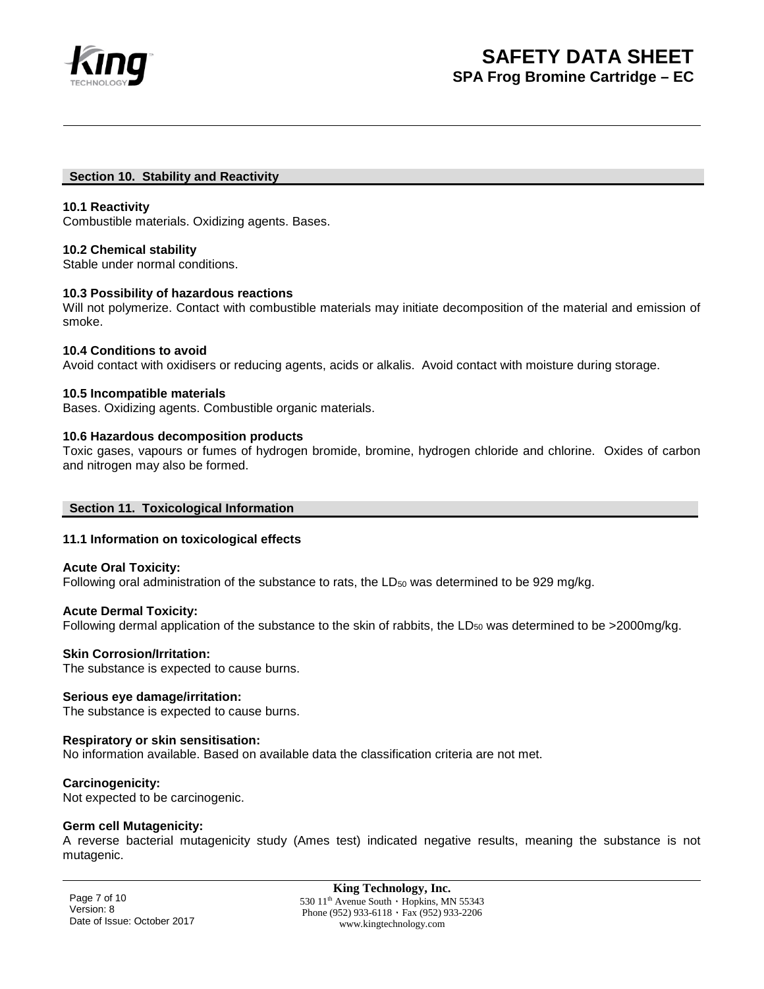

#### **Section 10. Stability and Reactivity**

### **10.1 Reactivity**

Combustible materials. Oxidizing agents. Bases.

### **10.2 Chemical stability**

Stable under normal conditions.

### **10.3 Possibility of hazardous reactions**

Will not polymerize. Contact with combustible materials may initiate decomposition of the material and emission of smoke.

### **10.4 Conditions to avoid**

Avoid contact with oxidisers or reducing agents, acids or alkalis. Avoid contact with moisture during storage.

### **10.5 Incompatible materials**

Bases. Oxidizing agents. Combustible organic materials.

### **10.6 Hazardous decomposition products**

Toxic gases, vapours or fumes of hydrogen bromide, bromine, hydrogen chloride and chlorine. Oxides of carbon and nitrogen may also be formed.

## **Section 11. Toxicological Information**

## **11.1 Information on toxicological effects**

#### **Acute Oral Toxicity:**

Following oral administration of the substance to rats, the LD<sub>50</sub> was determined to be 929 mg/kg.

## **Acute Dermal Toxicity:**

Following dermal application of the substance to the skin of rabbits, the LD<sub>50</sub> was determined to be >2000mg/kg.

#### **Skin Corrosion/Irritation:**

The substance is expected to cause burns.

## **Serious eye damage/irritation:**

The substance is expected to cause burns.

## **Respiratory or skin sensitisation:**

No information available. Based on available data the classification criteria are not met.

## **Carcinogenicity:**

Not expected to be carcinogenic.

#### **Germ cell Mutagenicity:**

A reverse bacterial mutagenicity study (Ames test) indicated negative results, meaning the substance is not mutagenic.

Page 7 of 10 Version: 8 Date of Issue: October 2017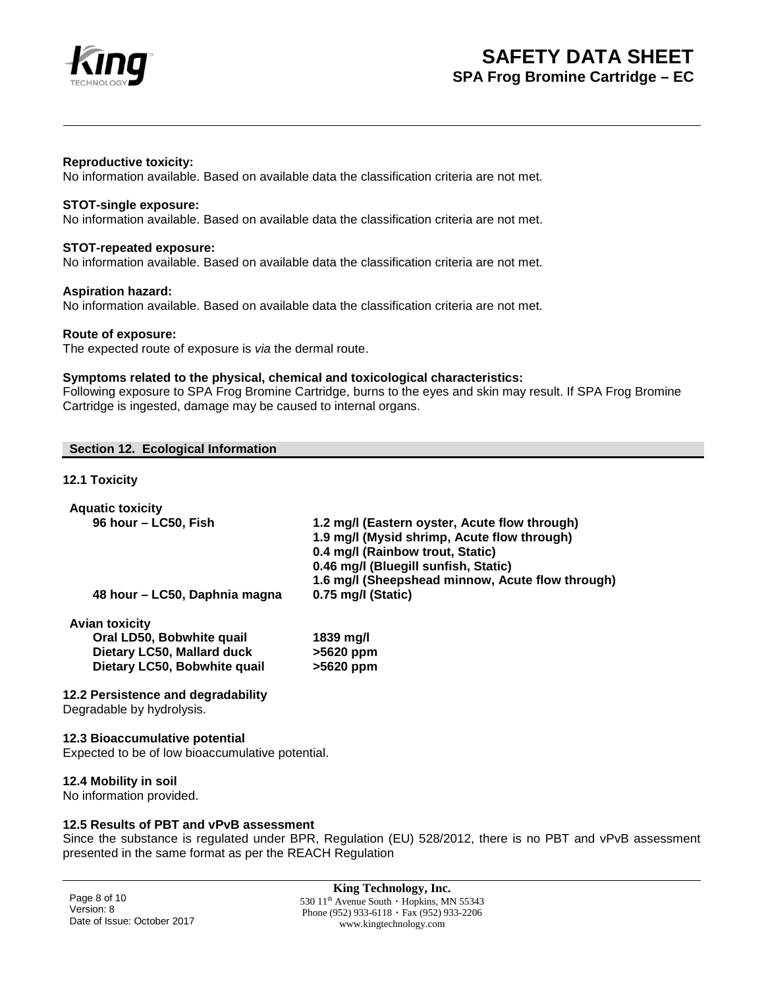

## **Reproductive toxicity:**

No information available. Based on available data the classification criteria are not met.

## **STOT-single exposure:**

No information available. Based on available data the classification criteria are not met.

#### **STOT-repeated exposure:**

No information available. Based on available data the classification criteria are not met.

#### **Aspiration hazard:**

No information available. Based on available data the classification criteria are not met.

#### **Route of exposure:**

The expected route of exposure is *via* the dermal route.

### **Symptoms related to the physical, chemical and toxicological characteristics:**

Following exposure to SPA Frog Bromine Cartridge, burns to the eyes and skin may result. If SPA Frog Bromine Cartridge is ingested, damage may be caused to internal organs.

### **Section 12. Ecological Information**

## **12.1 Toxicity**

| <b>Aquatic toxicity</b>                                         |                                                                          |
|-----------------------------------------------------------------|--------------------------------------------------------------------------|
| 96 hour - LC50, Fish                                            | 1.2 mg/l (Eastern oyster, Acute flow through)                            |
|                                                                 | 1.9 mg/l (Mysid shrimp, Acute flow through)                              |
|                                                                 | 0.4 mg/l (Rainbow trout, Static)<br>0.46 mg/l (Bluegill sunfish, Static) |
|                                                                 | 1.6 mg/l (Sheepshead minnow, Acute flow through)                         |
| 48 hour – LC50, Daphnia magna                                   | 0.75 mg/l (Static)                                                       |
| <b>Avian toxicity</b>                                           |                                                                          |
| Oral LD50, Bobwhite quail                                       | 1839 mg/l                                                                |
| Dietary LC50, Mallard duck                                      | >5620 ppm                                                                |
| Dietary LC50, Bobwhite quail                                    | >5620 ppm                                                                |
| 12.2 Persistence and degradability<br>Degradable by hydrolysis. |                                                                          |
| 12.3 Bioaccumulative potential                                  |                                                                          |
| Expected to be of low bioaccumulative potential.                |                                                                          |

# **12.4 Mobility in soil**

No information provided.

# **12.5 Results of PBT and vPvB assessment**

Since the substance is regulated under BPR, Regulation (EU) 528/2012, there is no PBT and vPvB assessment presented in the same format as per the REACH Regulation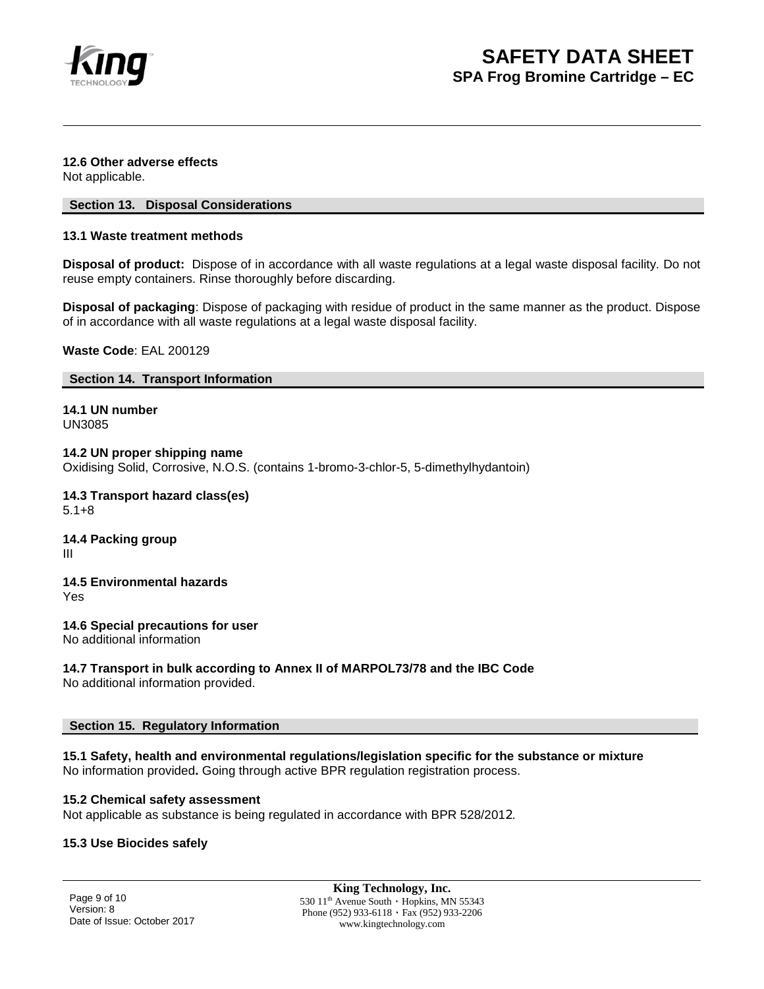

## **12.6 Other adverse effects**

Not applicable.

## **Section 13. Disposal Considerations**

## **13.1 Waste treatment methods**

**Disposal of product:** Dispose of in accordance with all waste regulations at a legal waste disposal facility. Do not reuse empty containers. Rinse thoroughly before discarding.

**Disposal of packaging**: Dispose of packaging with residue of product in the same manner as the product. Dispose of in accordance with all waste regulations at a legal waste disposal facility.

**Waste Code**: EAL 200129

## **Section 14. Transport Information**

**14.1 UN number** UN3085

**14.2 UN proper shipping name** Oxidising Solid, Corrosive, N.O.S. (contains 1-bromo-3-chlor-5, 5-dimethylhydantoin)

**14.3 Transport hazard class(es)** 5.1+8

**14.4 Packing group** III

**14.5 Environmental hazards**

Yes

**14.6 Special precautions for user**

No additional information

# **14.7 Transport in bulk according to Annex II of MARPOL73/78 and the IBC Code**

No additional information provided.

## **Section 15. Regulatory Information**

**15.1 Safety, health and environmental regulations/legislation specific for the substance or mixture** No information provided**.** Going through active BPR regulation registration process.

## **15.2 Chemical safety assessment**

Not applicable as substance is being regulated in accordance with BPR 528/2012.

## **15.3 Use Biocides safely**